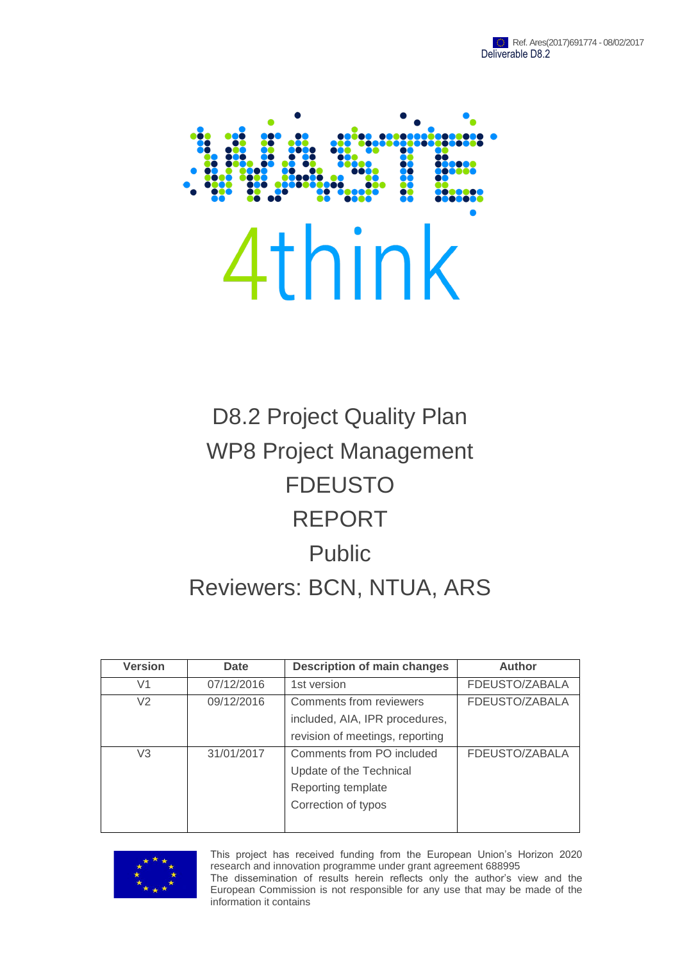

# D8.2 Project Quality Plan WP8 Project Management FDEUSTO REPORT Public Reviewers: BCN, NTUA, ARS

| <b>Version</b> | Date       | <b>Description of main changes</b>                                                                | <b>Author</b>  |
|----------------|------------|---------------------------------------------------------------------------------------------------|----------------|
| V <sub>1</sub> | 07/12/2016 | 1st version                                                                                       | FDEUSTO/ZABALA |
| V <sub>2</sub> | 09/12/2016 | Comments from reviewers<br>included, AIA, IPR procedures,<br>revision of meetings, reporting      | FDEUSTO/ZABALA |
| V3             | 31/01/2017 | Comments from PO included<br>Update of the Technical<br>Reporting template<br>Correction of typos | FDEUSTO/ZABALA |



This project has received funding from the European Union's Horizon 2020 research and innovation programme under grant agreement 688995

The dissemination of results herein reflects only the author's view and the European Commission is not responsible for any use that may be made of the information it contains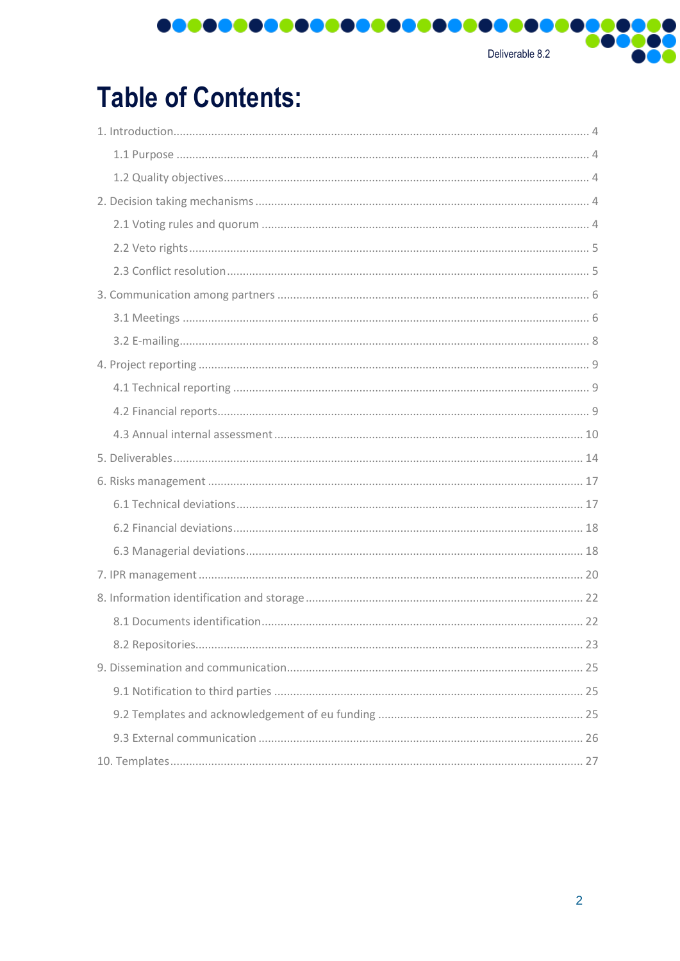Deliverable 8.2

Q,

**T** 

# **Table of Contents:**

0000000000000000000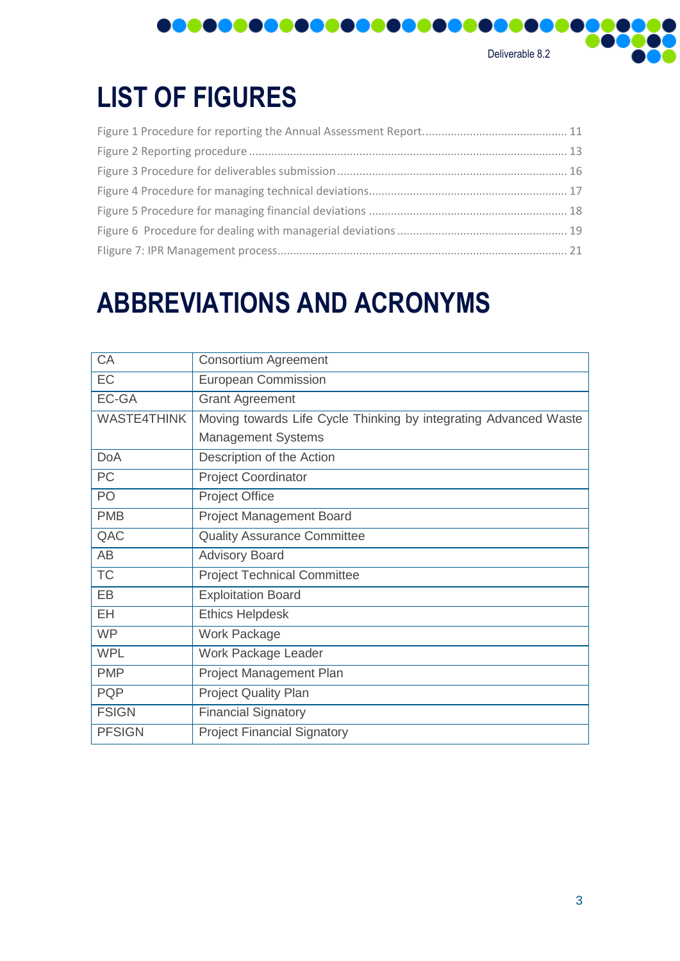

# **LIST OF FIGURES**

# **ABBREVIATIONS AND ACRONYMS**

| <b>CA</b>          | <b>Consortium Agreement</b>                                      |
|--------------------|------------------------------------------------------------------|
| EC                 | <b>European Commission</b>                                       |
| EC-GA              | <b>Grant Agreement</b>                                           |
| <b>WASTE4THINK</b> | Moving towards Life Cycle Thinking by integrating Advanced Waste |
|                    | <b>Management Systems</b>                                        |
| <b>DoA</b>         | Description of the Action                                        |
| PC                 | <b>Project Coordinator</b>                                       |
| PO                 | <b>Project Office</b>                                            |
| <b>PMB</b>         | <b>Project Management Board</b>                                  |
| QAC                | <b>Quality Assurance Committee</b>                               |
| AB                 | <b>Advisory Board</b>                                            |
| <b>TC</b>          | <b>Project Technical Committee</b>                               |
| EB                 | <b>Exploitation Board</b>                                        |
| <b>EH</b>          | <b>Ethics Helpdesk</b>                                           |
| <b>WP</b>          | Work Package                                                     |
| <b>WPL</b>         | Work Package Leader                                              |
| <b>PMP</b>         | Project Management Plan                                          |
| <b>PQP</b>         | <b>Project Quality Plan</b>                                      |
| <b>FSIGN</b>       | <b>Financial Signatory</b>                                       |
| <b>PFSIGN</b>      | <b>Project Financial Signatory</b>                               |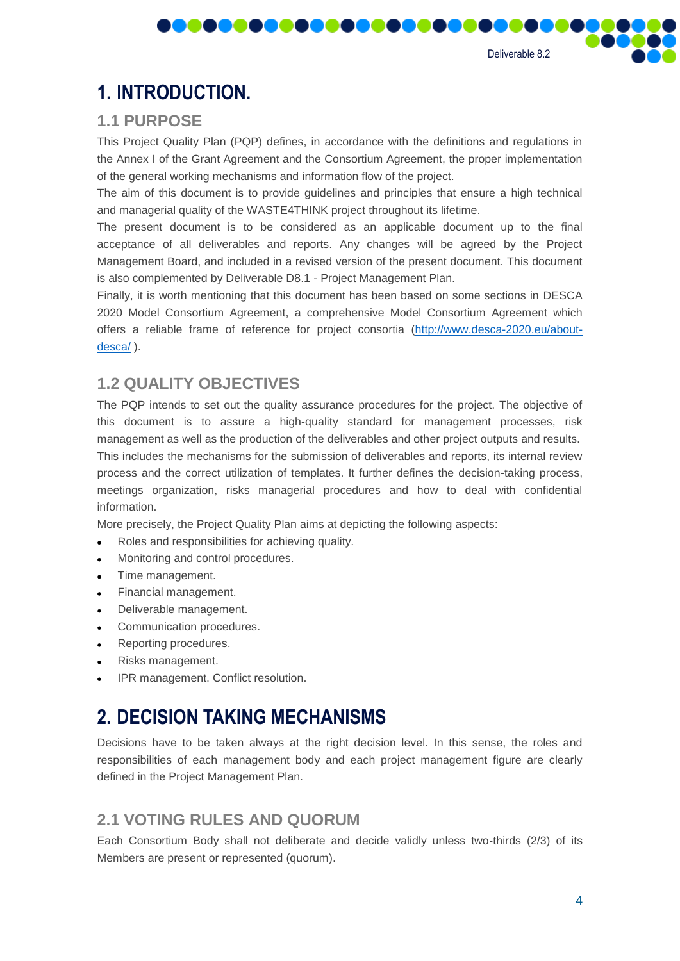Deliverable 8.2

# <span id="page-3-0"></span>**1. INTRODUCTION.**

## <span id="page-3-1"></span>**1.1 PURPOSE**

This Project Quality Plan (PQP) defines, in accordance with the definitions and regulations in the Annex I of the Grant Agreement and the Consortium Agreement, the proper implementation of the general working mechanisms and information flow of the project.

,,,,,,,,,,,,,,,,,,,

The aim of this document is to provide guidelines and principles that ensure a high technical and managerial quality of the WASTE4THINK project throughout its lifetime.

The present document is to be considered as an applicable document up to the final acceptance of all deliverables and reports. Any changes will be agreed by the Project Management Board, and included in a revised version of the present document. This document is also complemented by Deliverable D8.1 - Project Management Plan.

Finally, it is worth mentioning that this document has been based on some sections in DESCA 2020 Model Consortium Agreement, a comprehensive Model Consortium Agreement which offers a reliable frame of reference for project consortia [\(http://www.desca-2020.eu/about](http://www.desca-2020.eu/about-desca/)[desca/](http://www.desca-2020.eu/about-desca/) ).

## <span id="page-3-2"></span>**1.2 QUALITY OBJECTIVES**

The PQP intends to set out the quality assurance procedures for the project. The objective of this document is to assure a high-quality standard for management processes, risk management as well as the production of the deliverables and other project outputs and results. This includes the mechanisms for the submission of deliverables and reports, its internal review process and the correct utilization of templates. It further defines the decision-taking process, meetings organization, risks managerial procedures and how to deal with confidential information.

More precisely, the Project Quality Plan aims at depicting the following aspects:

- Roles and responsibilities for achieving quality.
- Monitoring and control procedures.
- Time management.
- Financial management.
- Deliverable management.
- Communication procedures.
- Reporting procedures.
- Risks management.
- IPR management. Conflict resolution.

# <span id="page-3-3"></span>**2. DECISION TAKING MECHANISMS**

Decisions have to be taken always at the right decision level. In this sense, the roles and responsibilities of each management body and each project management figure are clearly defined in the Project Management Plan.

## <span id="page-3-4"></span>**2.1 VOTING RULES AND QUORUM**

Each Consortium Body shall not deliberate and decide validly unless two-thirds (2/3) of its Members are present or represented (quorum).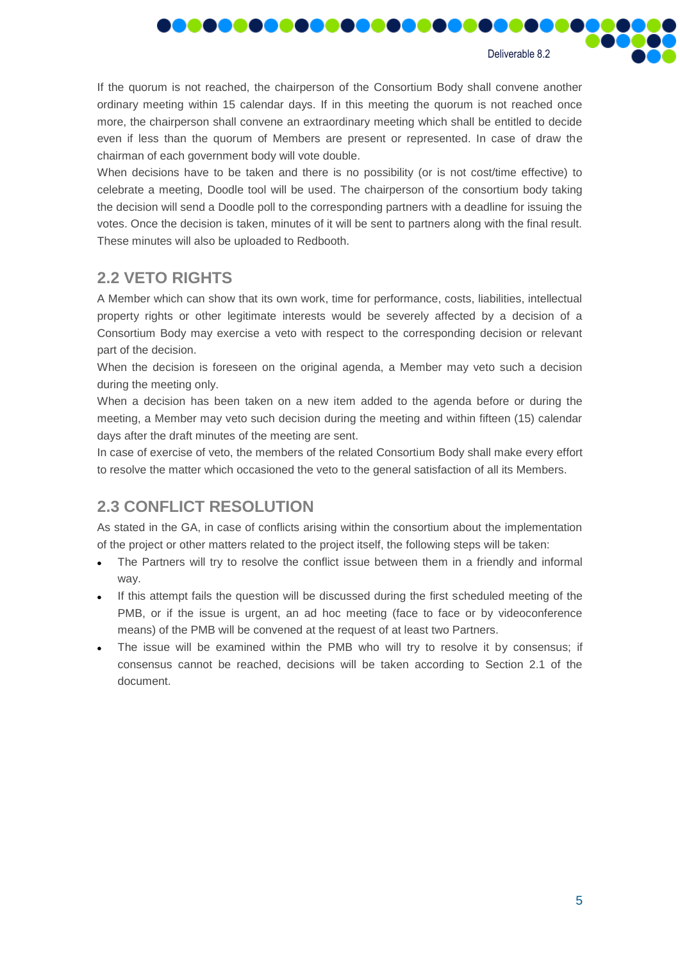

If the quorum is not reached, the chairperson of the Consortium Body shall convene another ordinary meeting within 15 calendar days. If in this meeting the quorum is not reached once more, the chairperson shall convene an extraordinary meeting which shall be entitled to decide even if less than the quorum of Members are present or represented. In case of draw the chairman of each government body will vote double.

,,,,,,,,,,

When decisions have to be taken and there is no possibility (or is not cost/time effective) to celebrate a meeting, Doodle tool will be used. The chairperson of the consortium body taking the decision will send a Doodle poll to the corresponding partners with a deadline for issuing the votes. Once the decision is taken, minutes of it will be sent to partners along with the final result. These minutes will also be uploaded to Redbooth.

## <span id="page-4-0"></span>**2.2 VETO RIGHTS**

**MAN** 

A Member which can show that its own work, time for performance, costs, liabilities, intellectual property rights or other legitimate interests would be severely affected by a decision of a Consortium Body may exercise a veto with respect to the corresponding decision or relevant part of the decision.

When the decision is foreseen on the original agenda, a Member may veto such a decision during the meeting only.

When a decision has been taken on a new item added to the agenda before or during the meeting, a Member may veto such decision during the meeting and within fifteen (15) calendar days after the draft minutes of the meeting are sent.

In case of exercise of veto, the members of the related Consortium Body shall make every effort to resolve the matter which occasioned the veto to the general satisfaction of all its Members.

# <span id="page-4-1"></span>**2.3 CONFLICT RESOLUTION**

As stated in the GA, in case of conflicts arising within the consortium about the implementation of the project or other matters related to the project itself, the following steps will be taken:

- The Partners will try to resolve the conflict issue between them in a friendly and informal way.
- If this attempt fails the question will be discussed during the first scheduled meeting of the PMB, or if the issue is urgent, an ad hoc meeting (face to face or by videoconference means) of the PMB will be convened at the request of at least two Partners.
- The issue will be examined within the PMB who will try to resolve it by consensus; if consensus cannot be reached, decisions will be taken according to Section 2.1 of the document.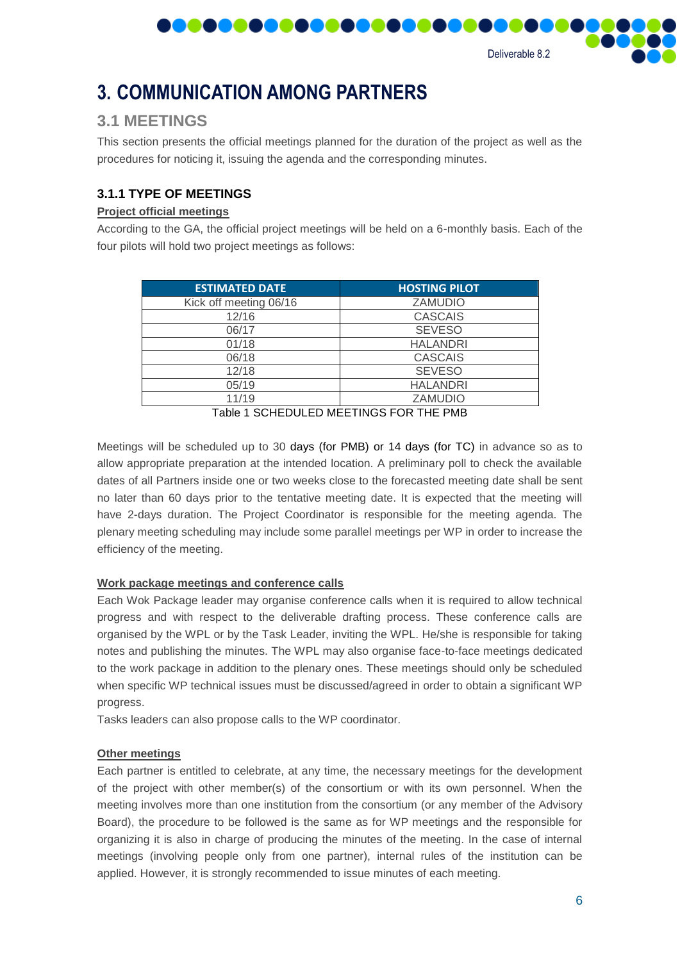

# <span id="page-5-0"></span>**3. COMMUNICATION AMONG PARTNERS**

,,,,,,,,,,

## <span id="page-5-1"></span>**3.1 MEETINGS**

This section presents the official meetings planned for the duration of the project as well as the procedures for noticing it, issuing the agenda and the corresponding minutes.

#### **3.1.1 TYPE OF MEETINGS**

#### **Project official meetings**

According to the GA, the official project meetings will be held on a 6-monthly basis. Each of the four pilots will hold two project meetings as follows:

| <b>ESTIMATED DATE</b>                    | <b>HOSTING PILOT</b> |  |
|------------------------------------------|----------------------|--|
| Kick off meeting 06/16                   | <b>ZAMUDIO</b>       |  |
| 12/16                                    | <b>CASCAIS</b>       |  |
| 06/17                                    | <b>SEVESO</b>        |  |
| 01/18                                    | <b>HALANDRI</b>      |  |
| 06/18                                    | <b>CASCAIS</b>       |  |
| 12/18                                    | <b>SEVESO</b>        |  |
| 05/19                                    | <b>HALANDRI</b>      |  |
| 11/19                                    | <b>ZAMUDIO</b>       |  |
| Table 4, OCUEDUU ED MEETIMOO FOD TUE DMD |                      |  |

Table 1 SCHEDULED MEETINGS FOR THE PMB

Meetings will be scheduled up to 30 days (for PMB) or 14 days (for TC) in advance so as to allow appropriate preparation at the intended location. A preliminary poll to check the available dates of all Partners inside one or two weeks close to the forecasted meeting date shall be sent no later than 60 days prior to the tentative meeting date. It is expected that the meeting will have 2-days duration. The Project Coordinator is responsible for the meeting agenda. The plenary meeting scheduling may include some parallel meetings per WP in order to increase the efficiency of the meeting.

#### **Work package meetings and conference calls**

Each Wok Package leader may organise conference calls when it is required to allow technical progress and with respect to the deliverable drafting process. These conference calls are organised by the WPL or by the Task Leader, inviting the WPL. He/she is responsible for taking notes and publishing the minutes. The WPL may also organise face-to-face meetings dedicated to the work package in addition to the plenary ones. These meetings should only be scheduled when specific WP technical issues must be discussed/agreed in order to obtain a significant WP progress.

Tasks leaders can also propose calls to the WP coordinator.

#### **Other meetings**

Each partner is entitled to celebrate, at any time, the necessary meetings for the development of the project with other member(s) of the consortium or with its own personnel. When the meeting involves more than one institution from the consortium (or any member of the Advisory Board), the procedure to be followed is the same as for WP meetings and the responsible for organizing it is also in charge of producing the minutes of the meeting. In the case of internal meetings (involving people only from one partner), internal rules of the institution can be applied. However, it is strongly recommended to issue minutes of each meeting.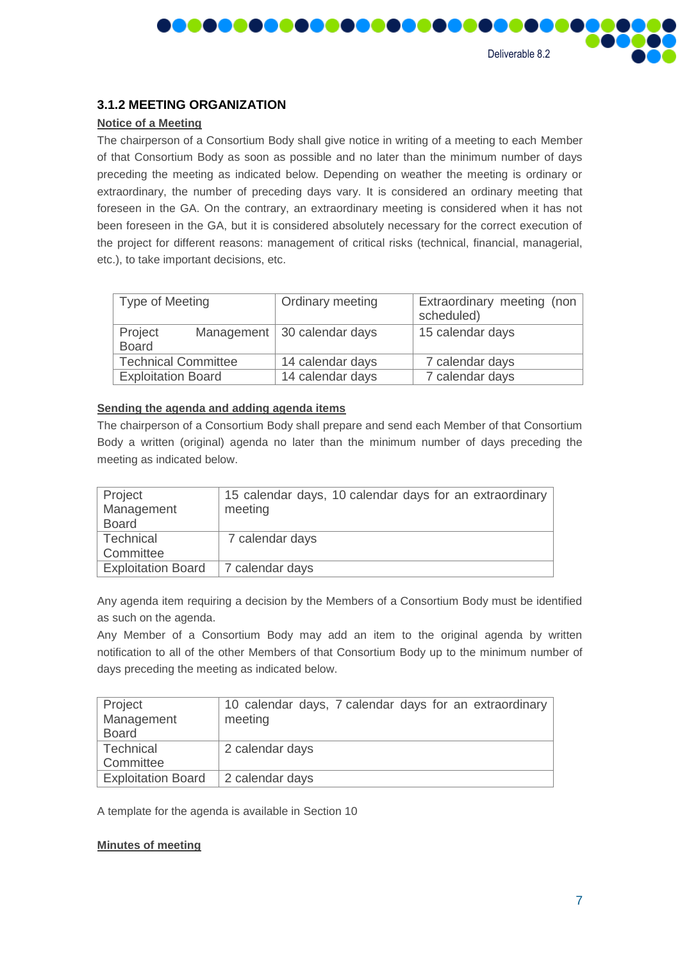

#### **3.1.2 MEETING ORGANIZATION**

I I I

DOOOOO

#### **Notice of a Meeting**

The chairperson of a Consortium Body shall give notice in writing of a meeting to each Member of that Consortium Body as soon as possible and no later than the minimum number of days preceding the meeting as indicated below. Depending on weather the meeting is ordinary or extraordinary, the number of preceding days vary. It is considered an ordinary meeting that foreseen in the GA. On the contrary, an extraordinary meeting is considered when it has not been foreseen in the GA, but it is considered absolutely necessary for the correct execution of the project for different reasons: management of critical risks (technical, financial, managerial, etc.), to take important decisions, etc.

| <b>Type of Meeting</b>     |  | Ordinary meeting              | Extraordinary meeting (non<br>scheduled) |
|----------------------------|--|-------------------------------|------------------------------------------|
| Project<br><b>Board</b>    |  | Management   30 calendar days | 15 calendar days                         |
| <b>Technical Committee</b> |  | 14 calendar days              | 7 calendar days                          |
| <b>Exploitation Board</b>  |  | 14 calendar days              | 7 calendar days                          |

#### **Sending the agenda and adding agenda items**

The chairperson of a Consortium Body shall prepare and send each Member of that Consortium Body a written (original) agenda no later than the minimum number of days preceding the meeting as indicated below.

| Project<br>Management     | 15 calendar days, 10 calendar days for an extraordinary<br>meeting |
|---------------------------|--------------------------------------------------------------------|
| <b>Board</b>              |                                                                    |
| Technical                 | 7 calendar days                                                    |
| Committee                 |                                                                    |
| <b>Exploitation Board</b> | 7 calendar days                                                    |

Any agenda item requiring a decision by the Members of a Consortium Body must be identified as such on the agenda.

Any Member of a Consortium Body may add an item to the original agenda by written notification to all of the other Members of that Consortium Body up to the minimum number of days preceding the meeting as indicated below.

| Project                   | 10 calendar days, 7 calendar days for an extraordinary |
|---------------------------|--------------------------------------------------------|
| Management                | meeting                                                |
| <b>Board</b>              |                                                        |
| Technical                 | 2 calendar days                                        |
| Committee                 |                                                        |
| <b>Exploitation Board</b> | 2 calendar days                                        |

A template for the agenda is available in Section 10

#### **Minutes of meeting**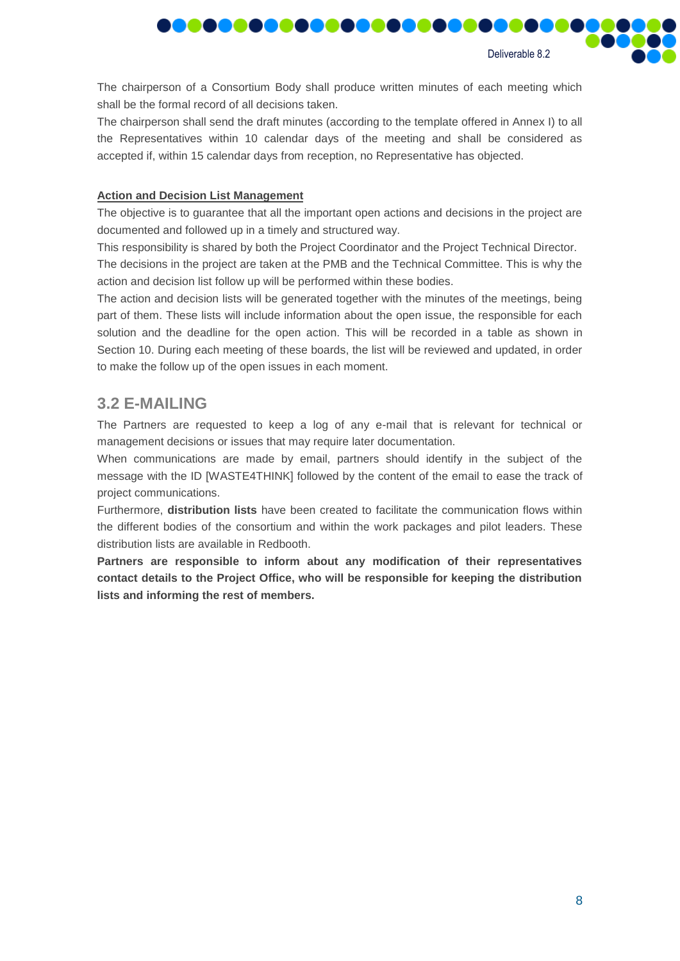

**MAG** 

The chairperson of a Consortium Body shall produce written minutes of each meeting which shall be the formal record of all decisions taken.

<u> Daaaaaaaaaa</u>

The chairperson shall send the draft minutes (according to the template offered in Annex I) to all the Representatives within 10 calendar days of the meeting and shall be considered as accepted if, within 15 calendar days from reception, no Representative has objected.

#### **Action and Decision List Management**

**MA** 

The objective is to guarantee that all the important open actions and decisions in the project are documented and followed up in a timely and structured way.

This responsibility is shared by both the Project Coordinator and the Project Technical Director. The decisions in the project are taken at the PMB and the Technical Committee. This is why the action and decision list follow up will be performed within these bodies.

The action and decision lists will be generated together with the minutes of the meetings, being part of them. These lists will include information about the open issue, the responsible for each solution and the deadline for the open action. This will be recorded in a table as shown in Section 10. During each meeting of these boards, the list will be reviewed and updated, in order to make the follow up of the open issues in each moment.

### <span id="page-7-0"></span>**3.2 E-MAILING**

The Partners are requested to keep a log of any e-mail that is relevant for technical or management decisions or issues that may require later documentation.

When communications are made by email, partners should identify in the subject of the message with the ID [WASTE4THINK] followed by the content of the email to ease the track of project communications.

Furthermore, **distribution lists** have been created to facilitate the communication flows within the different bodies of the consortium and within the work packages and pilot leaders. These distribution lists are available in Redbooth.

**Partners are responsible to inform about any modification of their representatives contact details to the Project Office, who will be responsible for keeping the distribution lists and informing the rest of members.**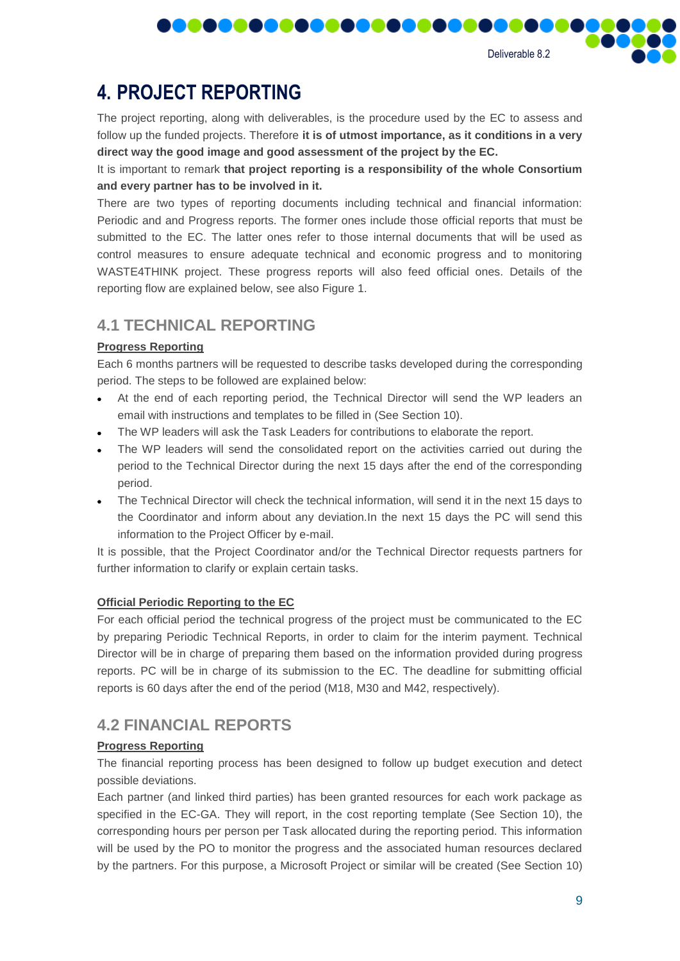9

Deliverable 8.2

**MAG** 

# <span id="page-8-0"></span>**4. PROJECT REPORTING**

The project reporting, along with deliverables, is the procedure used by the EC to assess and follow up the funded projects. Therefore **it is of utmost importance, as it conditions in a very direct way the good image and good assessment of the project by the EC.**

,,,,,,,,,,,,,,,,,,

It is important to remark **that project reporting is a responsibility of the whole Consortium and every partner has to be involved in it.**

There are two types of reporting documents including technical and financial information: Periodic and and Progress reports. The former ones include those official reports that must be submitted to the EC. The latter ones refer to those internal documents that will be used as control measures to ensure adequate technical and economic progress and to monitoring WASTE4THINK project. These progress reports will also feed official ones. Details of the reporting flow are explained below, see also Figure 1.

# <span id="page-8-1"></span>**4.1 TECHNICAL REPORTING**

#### **Progress Reporting**

Each 6 months partners will be requested to describe tasks developed during the corresponding period. The steps to be followed are explained below:

- At the end of each reporting period, the Technical Director will send the WP leaders an email with instructions and templates to be filled in (See Section 10).
- The WP leaders will ask the Task Leaders for contributions to elaborate the report.
- The WP leaders will send the consolidated report on the activities carried out during the period to the Technical Director during the next 15 days after the end of the corresponding period.
- The Technical Director will check the technical information, will send it in the next 15 days to the Coordinator and inform about any deviation.In the next 15 days the PC will send this information to the Project Officer by e-mail.

It is possible, that the Project Coordinator and/or the Technical Director requests partners for further information to clarify or explain certain tasks.

#### **Official Periodic Reporting to the EC**

For each official period the technical progress of the project must be communicated to the EC by preparing Periodic Technical Reports, in order to claim for the interim payment. Technical Director will be in charge of preparing them based on the information provided during progress reports. PC will be in charge of its submission to the EC. The deadline for submitting official reports is 60 days after the end of the period (M18, M30 and M42, respectively).

## <span id="page-8-2"></span>**4.2 FINANCIAL REPORTS**

#### **Progress Reporting**

The financial reporting process has been designed to follow up budget execution and detect possible deviations.

Each partner (and linked third parties) has been granted resources for each work package as specified in the EC-GA. They will report, in the cost reporting template (See Section 10), the corresponding hours per person per Task allocated during the reporting period. This information will be used by the PO to monitor the progress and the associated human resources declared by the partners. For this purpose, a Microsoft Project or similar will be created (See Section 10)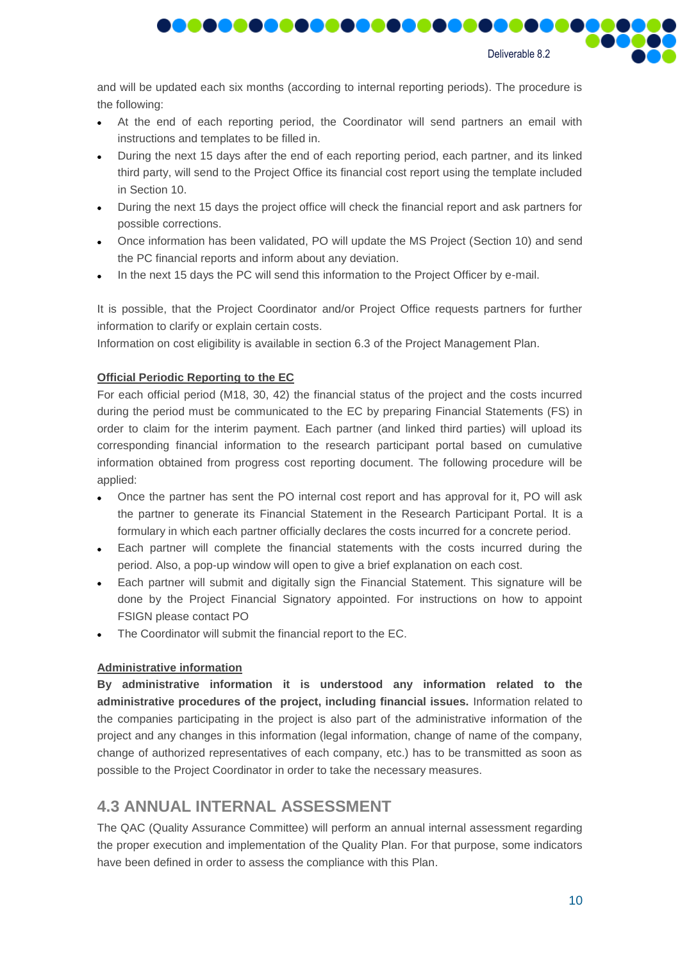

**MAG** 

and will be updated each six months (according to internal reporting periods). The procedure is the following:

,,,,,,,,,,,,,,,,

- At the end of each reporting period, the Coordinator will send partners an email with instructions and templates to be filled in.
- During the next 15 days after the end of each reporting period, each partner, and its linked third party, will send to the Project Office its financial cost report using the template included in Section 10.
- During the next 15 days the project office will check the financial report and ask partners for possible corrections.
- Once information has been validated, PO will update the MS Project (Section 10) and send the PC financial reports and inform about any deviation.
- In the next 15 days the PC will send this information to the Project Officer by e-mail.

It is possible, that the Project Coordinator and/or Project Office requests partners for further information to clarify or explain certain costs.

Information on cost eligibility is available in section 6.3 of the Project Management Plan.

#### **Official Periodic Reporting to the EC**

For each official period (M18, 30, 42) the financial status of the project and the costs incurred during the period must be communicated to the EC by preparing Financial Statements (FS) in order to claim for the interim payment. Each partner (and linked third parties) will upload its corresponding financial information to the research participant portal based on cumulative information obtained from progress cost reporting document. The following procedure will be applied:

- Once the partner has sent the PO internal cost report and has approval for it, PO will ask the partner to generate its Financial Statement in the Research Participant Portal. It is a formulary in which each partner officially declares the costs incurred for a concrete period.
- Each partner will complete the financial statements with the costs incurred during the period. Also, a pop-up window will open to give a brief explanation on each cost.
- Each partner will submit and digitally sign the Financial Statement. This signature will be done by the Project Financial Signatory appointed. For instructions on how to appoint FSIGN please contact PO
- The Coordinator will submit the financial report to the EC.

#### **Administrative information**

**By administrative information it is understood any information related to the administrative procedures of the project, including financial issues.** Information related to the companies participating in the project is also part of the administrative information of the project and any changes in this information (legal information, change of name of the company, change of authorized representatives of each company, etc.) has to be transmitted as soon as possible to the Project Coordinator in order to take the necessary measures.

## <span id="page-9-0"></span>**4.3 ANNUAL INTERNAL ASSESSMENT**

The QAC (Quality Assurance Committee) will perform an annual internal assessment regarding the proper execution and implementation of the Quality Plan. For that purpose, some indicators have been defined in order to assess the compliance with this Plan.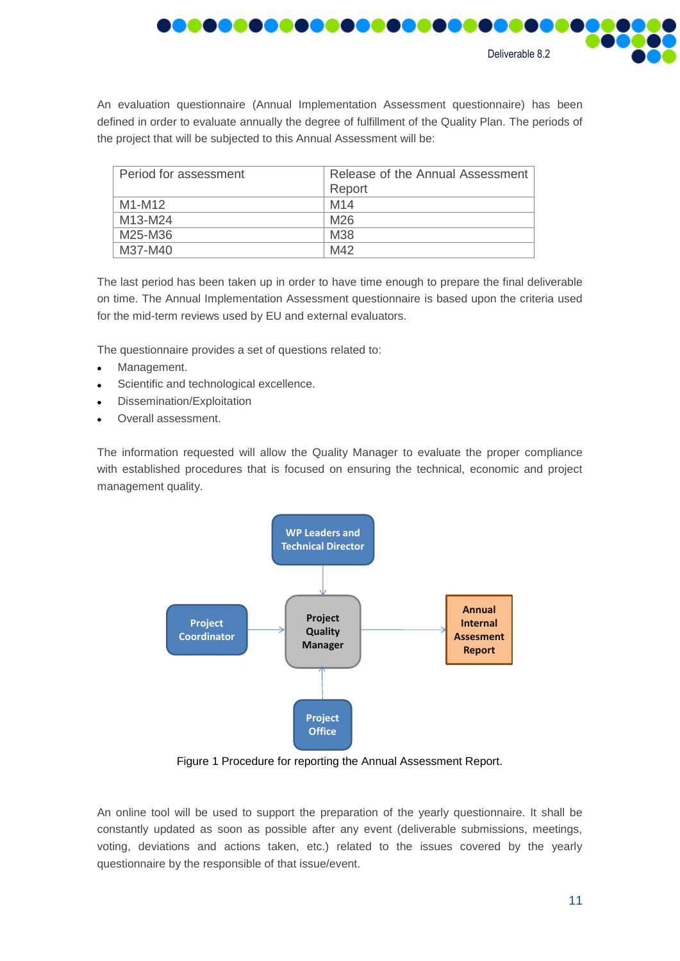

An evaluation questionnaire (Annual Implementation Assessment questionnaire) has been defined in order to evaluate annually the degree of fulfillment of the Quality Plan. The periods of the project that will be subjected to this Annual Assessment will be:

| Period for assessment            | Release of the Annual Assessment<br>Report |
|----------------------------------|--------------------------------------------|
| M1-M12                           | M <sub>14</sub>                            |
| M <sub>13</sub> -M <sub>24</sub> | M26                                        |
| M25-M36                          | M38                                        |
| M37-M40                          | M42                                        |

The last period has been taken up in order to have time enough to prepare the final deliverable on time. The Annual Implementation Assessment questionnaire is based upon the criteria used for the mid-term reviews used by EU and external evaluators.

The questionnaire provides a set of questions related to:

- Management.
- Scientific and technological excellence.
- Dissemination/Exploitation
- Overall assessment.

The information requested will allow the Quality Manager to evaluate the proper compliance with established procedures that is focused on ensuring the technical, economic and project management quality.



Figure 1 Procedure for reporting the Annual Assessment Report.

<span id="page-10-0"></span>An online tool will be used to support the preparation of the yearly questionnaire. It shall be constantly updated as soon as possible after any event (deliverable submissions, meetings, voting, deviations and actions taken, etc.) related to the issues covered by the yearly questionnaire by the responsible of that issue/event.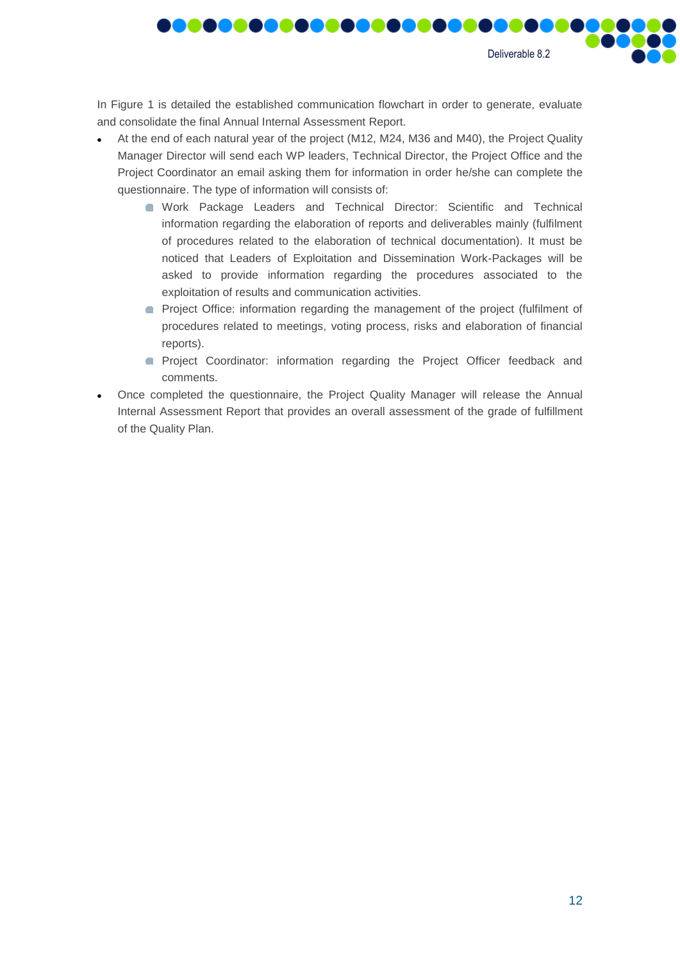Deliverable 8.2

**MAG** 

In [Figure](#page-10-0) 1 is detailed the established communication flowchart in order to generate, evaluate and consolidate the final Annual Internal Assessment Report.

<u>.............</u>

III

- At the end of each natural year of the project (M12, M24, M36 and M40), the Project Quality Manager Director will send each WP leaders, Technical Director, the Project Office and the Project Coordinator an email asking them for information in order he/she can complete the questionnaire. The type of information will consists of:
	- Work Package Leaders and Technical Director: Scientific and Technical information regarding the elaboration of reports and deliverables mainly (fulfilment of procedures related to the elaboration of technical documentation). It must be noticed that Leaders of Exploitation and Dissemination Work-Packages will be asked to provide information regarding the procedures associated to the exploitation of results and communication activities.
	- **Project Office: information regarding the management of the project (fulfilment of** procedures related to meetings, voting process, risks and elaboration of financial reports).
	- **Project Coordinator: information regarding the Project Officer feedback and** comments.
- Once completed the questionnaire, the Project Quality Manager will release the Annual Internal Assessment Report that provides an overall assessment of the grade of fulfillment of the Quality Plan.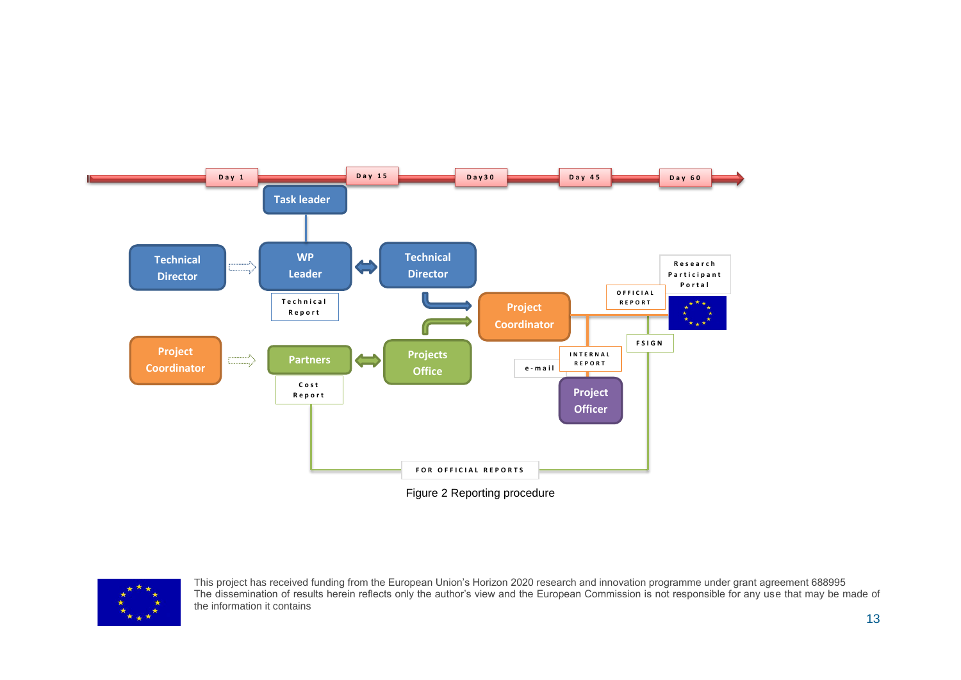

Figure 2 Reporting procedure

<span id="page-12-0"></span>

This project has received funding from the European Union's Horizon 2020 research and innovation programme under grant agreement 688995 The dissemination of results herein reflects only the author's view and the European Commission is not responsible for any use that may be made of the information it contains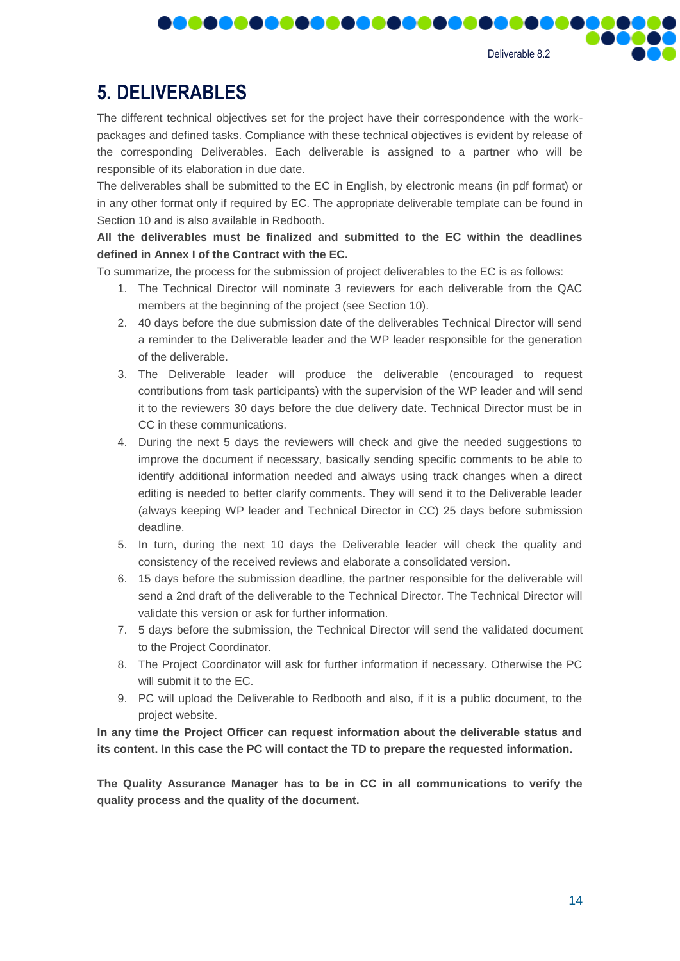

# <span id="page-13-0"></span>**5. DELIVERABLES**

The different technical objectives set for the project have their correspondence with the workpackages and defined tasks. Compliance with these technical objectives is evident by release of the corresponding Deliverables. Each deliverable is assigned to a partner who will be responsible of its elaboration in due date.

. . . . . . . . . . . . . . . . . .

The deliverables shall be submitted to the EC in English, by electronic means (in pdf format) or in any other format only if required by EC. The appropriate deliverable template can be found in Section 10 and is also available in Redbooth.

**All the deliverables must be finalized and submitted to the EC within the deadlines defined in Annex I of the Contract with the EC.**

To summarize, the process for the submission of project deliverables to the EC is as follows:

- 1. The Technical Director will nominate 3 reviewers for each deliverable from the QAC members at the beginning of the project (see Section 10).
- 2. 40 days before the due submission date of the deliverables Technical Director will send a reminder to the Deliverable leader and the WP leader responsible for the generation of the deliverable.
- 3. The Deliverable leader will produce the deliverable (encouraged to request contributions from task participants) with the supervision of the WP leader and will send it to the reviewers 30 days before the due delivery date. Technical Director must be in CC in these communications.
- 4. During the next 5 days the reviewers will check and give the needed suggestions to improve the document if necessary, basically sending specific comments to be able to identify additional information needed and always using track changes when a direct editing is needed to better clarify comments. They will send it to the Deliverable leader (always keeping WP leader and Technical Director in CC) 25 days before submission deadline.
- 5. In turn, during the next 10 days the Deliverable leader will check the quality and consistency of the received reviews and elaborate a consolidated version.
- 6. 15 days before the submission deadline, the partner responsible for the deliverable will send a 2nd draft of the deliverable to the Technical Director. The Technical Director will validate this version or ask for further information.
- 7. 5 days before the submission, the Technical Director will send the validated document to the Project Coordinator.
- 8. The Project Coordinator will ask for further information if necessary. Otherwise the PC will submit it to the EC.
- 9. PC will upload the Deliverable to Redbooth and also, if it is a public document, to the project website.

**In any time the Project Officer can request information about the deliverable status and its content. In this case the PC will contact the TD to prepare the requested information.**

**The Quality Assurance Manager has to be in CC in all communications to verify the quality process and the quality of the document.**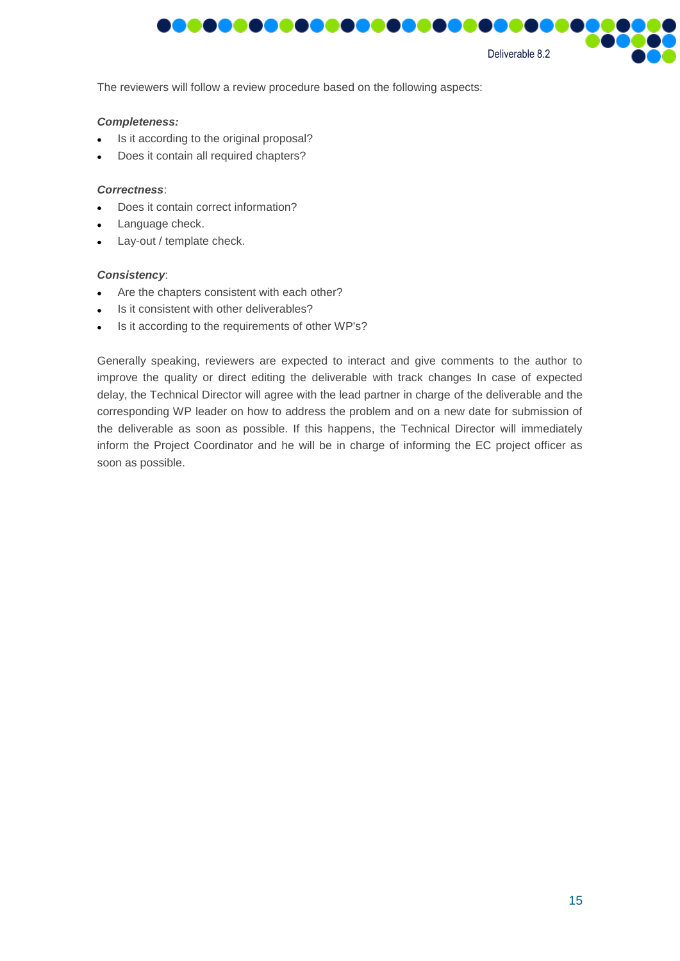

The reviewers will follow a review procedure based on the following aspects:

#### *Completeness:*

- Is it according to the original proposal?
- Does it contain all required chapters?

#### *Correctness*:

- Does it contain correct information?
- Language check.
- Lay-out / template check.

#### *Consistency*:

- Are the chapters consistent with each other?
- Is it consistent with other deliverables?
- Is it according to the requirements of other WP's?

Generally speaking, reviewers are expected to interact and give comments to the author to improve the quality or direct editing the deliverable with track changes In case of expected delay, the Technical Director will agree with the lead partner in charge of the deliverable and the corresponding WP leader on how to address the problem and on a new date for submission of the deliverable as soon as possible. If this happens, the Technical Director will immediately inform the Project Coordinator and he will be in charge of informing the EC project officer as soon as possible.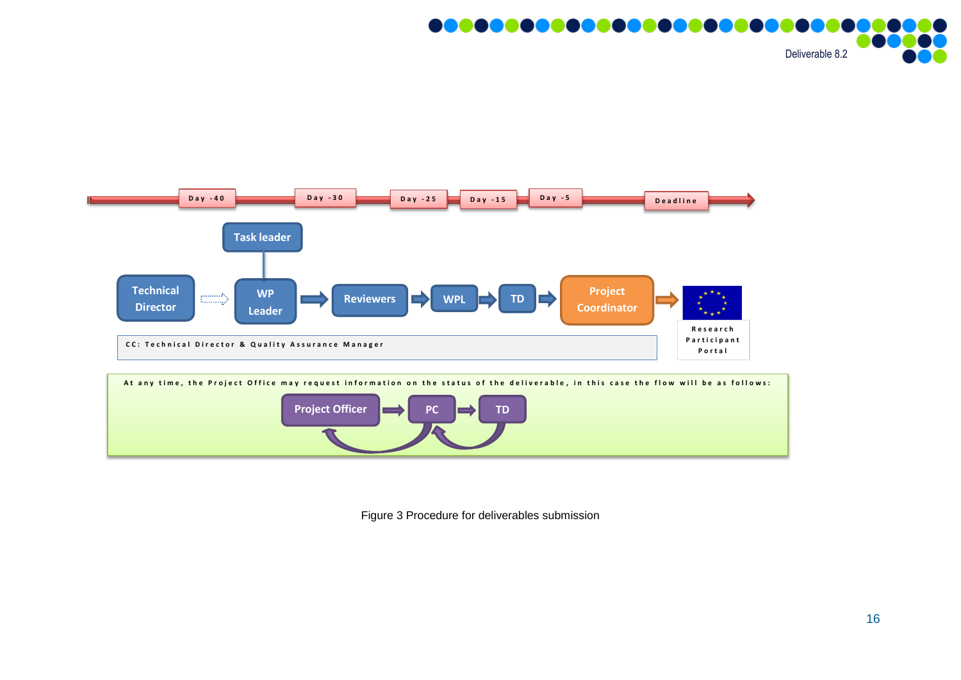





<span id="page-15-0"></span>Figure 3 Procedure for deliverables submission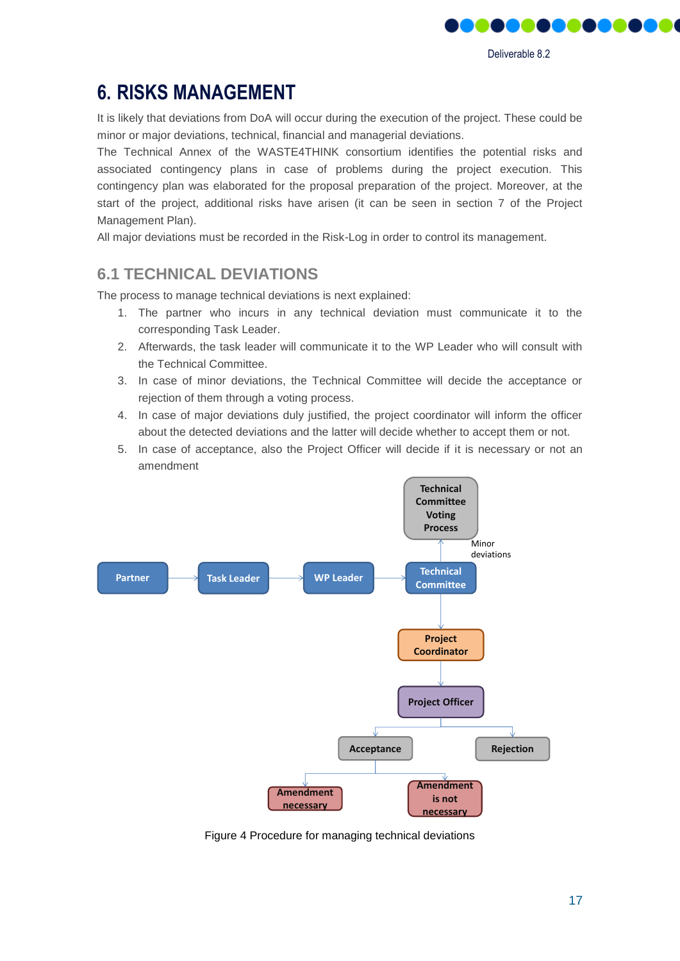

# <span id="page-16-0"></span>**6. RISKS MANAGEMENT**

It is likely that deviations from DoA will occur during the execution of the project. These could be minor or major deviations, technical, financial and managerial deviations.

The Technical Annex of the WASTE4THINK consortium identifies the potential risks and associated contingency plans in case of problems during the project execution. This contingency plan was elaborated for the proposal preparation of the project. Moreover, at the start of the project, additional risks have arisen (it can be seen in section 7 of the Project Management Plan).

All major deviations must be recorded in the Risk-Log in order to control its management.

## <span id="page-16-1"></span>**6.1 TECHNICAL DEVIATIONS**

The process to manage technical deviations is next explained:

- 1. The partner who incurs in any technical deviation must communicate it to the corresponding Task Leader.
- 2. Afterwards, the task leader will communicate it to the WP Leader who will consult with the Technical Committee.
- 3. In case of minor deviations, the Technical Committee will decide the acceptance or rejection of them through a voting process.
- 4. In case of major deviations duly justified, the project coordinator will inform the officer about the detected deviations and the latter will decide whether to accept them or not.
- 5. In case of acceptance, also the Project Officer will decide if it is necessary or not an amendment



<span id="page-16-2"></span>Figure 4 Procedure for managing technical deviations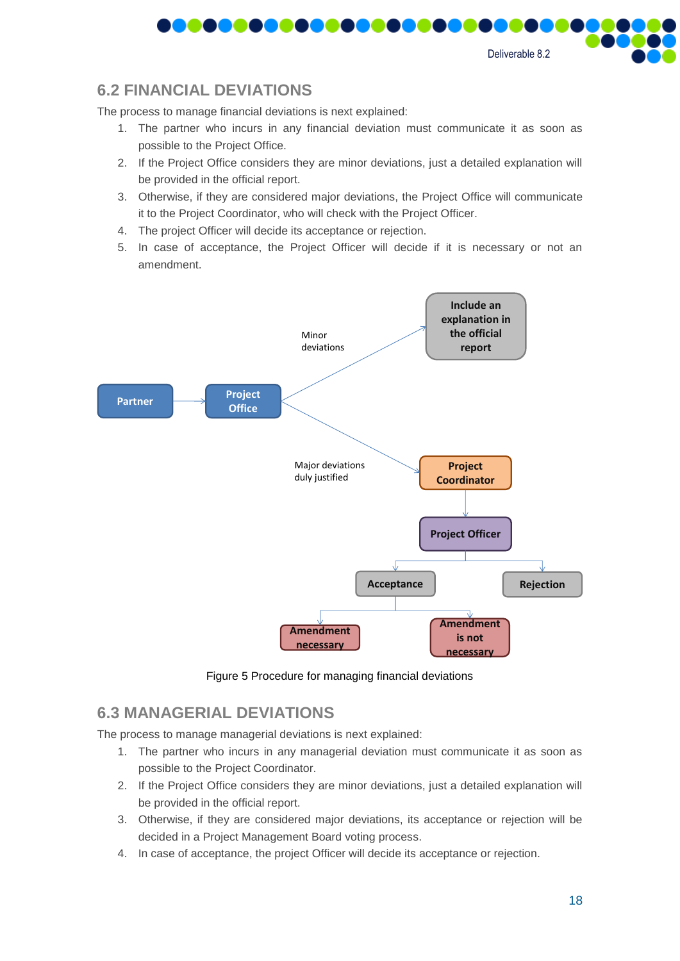Deliverable 8.2

## <span id="page-17-0"></span>**6.2 FINANCIAL DEVIATIONS**

The process to manage financial deviations is next explained:

- 1. The partner who incurs in any financial deviation must communicate it as soon as possible to the Project Office.
- 2. If the Project Office considers they are minor deviations, just a detailed explanation will be provided in the official report.
- 3. Otherwise, if they are considered major deviations, the Project Office will communicate it to the Project Coordinator, who will check with the Project Officer.
- 4. The project Officer will decide its acceptance or rejection.
- 5. In case of acceptance, the Project Officer will decide if it is necessary or not an amendment.



Figure 5 Procedure for managing financial deviations

#### <span id="page-17-2"></span><span id="page-17-1"></span>**6.3 MANAGERIAL DEVIATIONS**

The process to manage managerial deviations is next explained:

- 1. The partner who incurs in any managerial deviation must communicate it as soon as possible to the Project Coordinator.
- 2. If the Project Office considers they are minor deviations, just a detailed explanation will be provided in the official report.
- 3. Otherwise, if they are considered major deviations, its acceptance or rejection will be decided in a Project Management Board voting process.
- 4. In case of acceptance, the project Officer will decide its acceptance or rejection.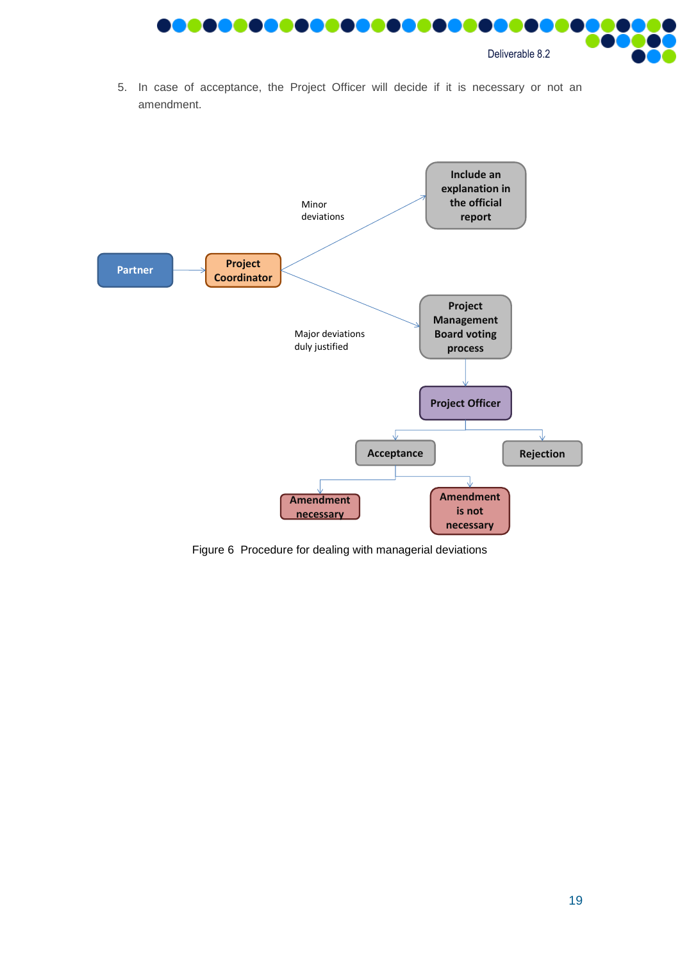

5. In case of acceptance, the Project Officer will decide if it is necessary or not an amendment.



<span id="page-18-0"></span>Figure 6 Procedure for dealing with managerial deviations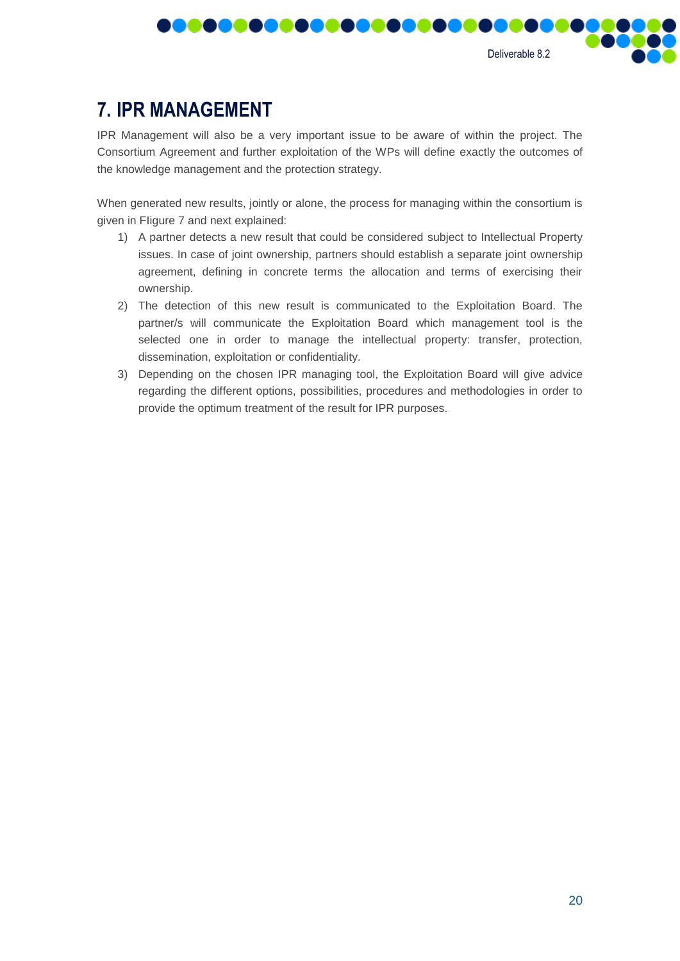

# <span id="page-19-0"></span>**7. IPR MANAGEMENT**

IPR Management will also be a very important issue to be aware of within the project. The Consortium Agreement and further exploitation of the WPs will define exactly the outcomes of the knowledge management and the protection strategy.

When generated new results, jointly or alone, the process for managing within the consortium is given in [FIigure](#page-20-0) 7 and next explained:

- 1) A partner detects a new result that could be considered subject to Intellectual Property issues. In case of joint ownership, partners should establish a separate joint ownership agreement, defining in concrete terms the allocation and terms of exercising their ownership.
- 2) The detection of this new result is communicated to the Exploitation Board. The partner/s will communicate the Exploitation Board which management tool is the selected one in order to manage the intellectual property: transfer, protection, dissemination, exploitation or confidentiality.
- 3) Depending on the chosen IPR managing tool, the Exploitation Board will give advice regarding the different options, possibilities, procedures and methodologies in order to provide the optimum treatment of the result for IPR purposes.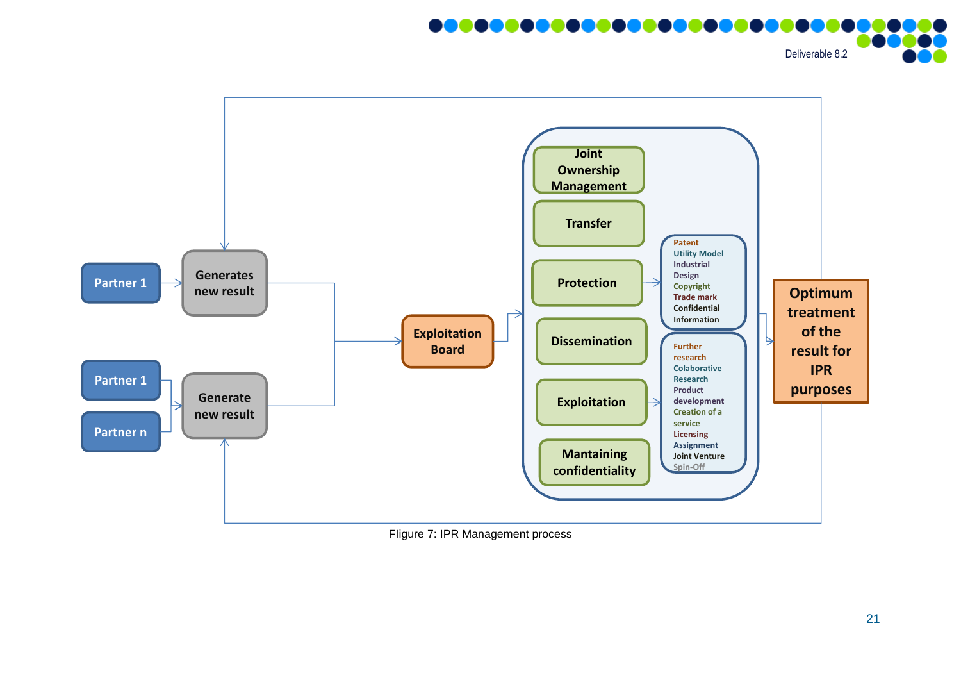<u>18888888888888888888</u> Deliverable 8.2



<span id="page-20-0"></span>FIigure 7: IPR Management process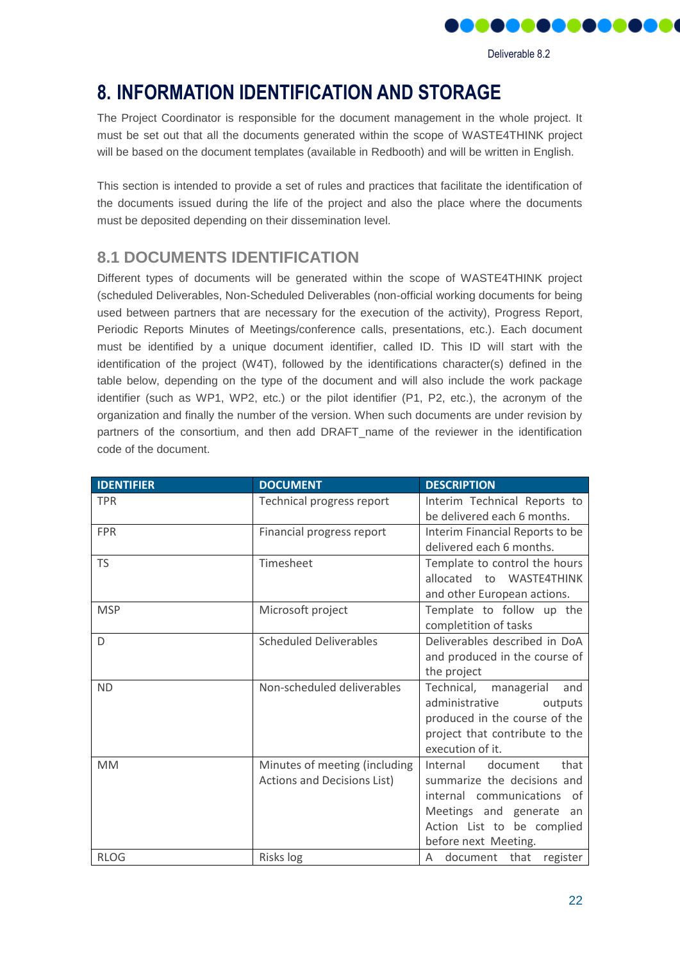

Deliverable 8.2

# <span id="page-21-0"></span>**8. INFORMATION IDENTIFICATION AND STORAGE**

The Project Coordinator is responsible for the document management in the whole project. It must be set out that all the documents generated within the scope of WASTE4THINK project will be based on the document templates (available in Redbooth) and will be written in English.

This section is intended to provide a set of rules and practices that facilitate the identification of the documents issued during the life of the project and also the place where the documents must be deposited depending on their dissemination level.

# <span id="page-21-1"></span>**8.1 DOCUMENTS IDENTIFICATION**

Different types of documents will be generated within the scope of WASTE4THINK project (scheduled Deliverables, Non-Scheduled Deliverables (non-official working documents for being used between partners that are necessary for the execution of the activity), Progress Report, Periodic Reports Minutes of Meetings/conference calls, presentations, etc.). Each document must be identified by a unique document identifier, called ID. This ID will start with the identification of the project (W4T), followed by the identifications character(s) defined in the table below, depending on the type of the document and will also include the work package identifier (such as WP1, WP2, etc.) or the pilot identifier (P1, P2, etc.), the acronym of the organization and finally the number of the version. When such documents are under revision by partners of the consortium, and then add DRAFT\_name of the reviewer in the identification code of the document.

| <b>IDENTIFIER</b> | <b>DOCUMENT</b>                                              | <b>DESCRIPTION</b>                                                                                                                                                          |
|-------------------|--------------------------------------------------------------|-----------------------------------------------------------------------------------------------------------------------------------------------------------------------------|
| <b>TPR</b>        | Technical progress report                                    | Interim Technical Reports to<br>be delivered each 6 months.                                                                                                                 |
| <b>FPR</b>        | Financial progress report                                    | Interim Financial Reports to be<br>delivered each 6 months.                                                                                                                 |
| <b>TS</b>         | Timesheet                                                    | Template to control the hours<br>allocated to WASTE4THINK<br>and other European actions.                                                                                    |
| <b>MSP</b>        | Microsoft project                                            | Template to follow up the<br>completition of tasks                                                                                                                          |
| D                 | <b>Scheduled Deliverables</b>                                | Deliverables described in DoA<br>and produced in the course of<br>the project                                                                                               |
| <b>ND</b>         | Non-scheduled deliverables                                   | Technical, managerial<br>and<br>administrative<br>outputs<br>produced in the course of the<br>project that contribute to the<br>execution of it.                            |
| <b>MM</b>         | Minutes of meeting (including<br>Actions and Decisions List) | document<br>that<br>Internal<br>summarize the decisions and<br>internal communications of<br>Meetings and generate an<br>Action List to be complied<br>before next Meeting. |
| <b>RLOG</b>       | Risks log                                                    | document that<br>A<br>register                                                                                                                                              |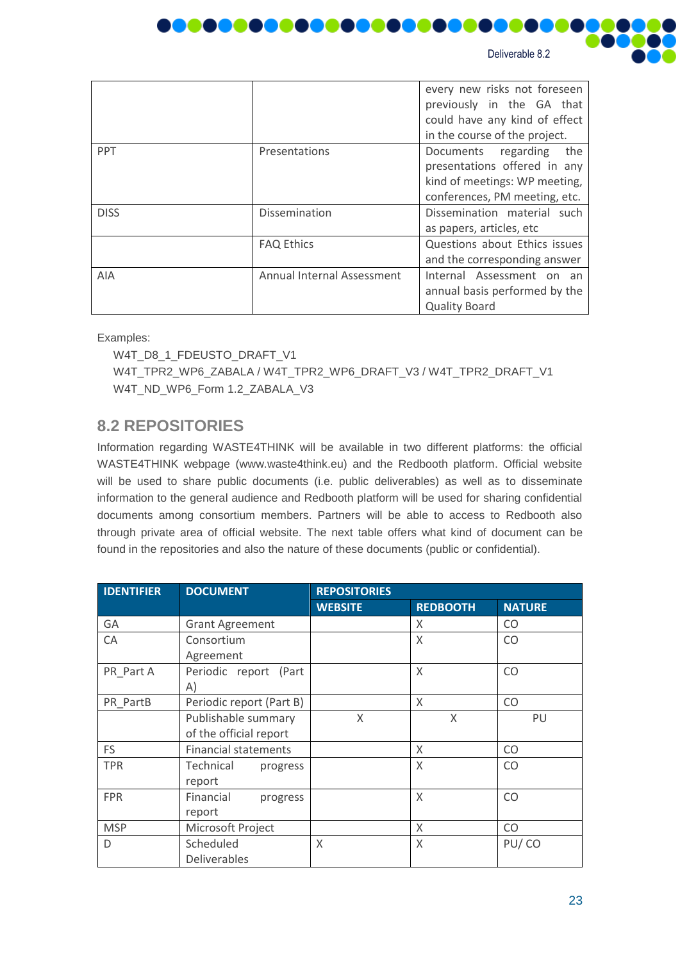

| Deliverable 8.2 |  |
|-----------------|--|
|-----------------|--|

|             |                            | every new risks not foreseen<br>previously in the GA that<br>could have any kind of effect<br>in the course of the project.  |
|-------------|----------------------------|------------------------------------------------------------------------------------------------------------------------------|
| <b>PPT</b>  | Presentations              | Documents regarding<br>the<br>presentations offered in any<br>kind of meetings: WP meeting,<br>conferences, PM meeting, etc. |
| <b>DISS</b> | Dissemination              | Dissemination material such<br>as papers, articles, etc                                                                      |
|             | <b>FAQ Ethics</b>          | Questions about Ethics issues<br>and the corresponding answer                                                                |
| AIA         | Annual Internal Assessment | Internal Assessment on an<br>annual basis performed by the<br><b>Quality Board</b>                                           |

Examples:

W4T\_D8\_1\_FDEUSTO\_DRAFT\_V1 W4T\_TPR2\_WP6\_ZABALA / W4T\_TPR2\_WP6\_DRAFT\_V3 / W4T\_TPR2\_DRAFT\_V1 W4T\_ND\_WP6\_Form 1.2\_ZABALA\_V3

## <span id="page-22-0"></span>**8.2 REPOSITORIES**

Information regarding WASTE4THINK will be available in two different platforms: the official WASTE4THINK webpage (www.waste4think.eu) and the Redbooth platform. Official website will be used to share public documents (i.e. public deliverables) as well as to disseminate information to the general audience and Redbooth platform will be used for sharing confidential documents among consortium members. Partners will be able to access to Redbooth also through private area of official website. The next table offers what kind of document can be found in the repositories and also the nature of these documents (public or confidential).

| <b>IDENTIFIER</b> | <b>DOCUMENT</b>             | <b>REPOSITORIES</b> |                 |               |  |
|-------------------|-----------------------------|---------------------|-----------------|---------------|--|
|                   |                             | <b>WEBSITE</b>      | <b>REDBOOTH</b> | <b>NATURE</b> |  |
| GA                | <b>Grant Agreement</b>      |                     | X               | CO.           |  |
| CA                | Consortium                  |                     | X               | CO            |  |
|                   | Agreement                   |                     |                 |               |  |
| PR Part A         | Periodic report (Part       |                     | X               | <b>CO</b>     |  |
|                   | A)                          |                     |                 |               |  |
| PR PartB          | Periodic report (Part B)    |                     | X               | CO            |  |
|                   | Publishable summary         | X                   | X               | PU            |  |
|                   | of the official report      |                     |                 |               |  |
| FS                | <b>Financial statements</b> |                     | X               | <b>CO</b>     |  |
| <b>TPR</b>        | Technical<br>progress       |                     | X               | CO            |  |
|                   | report                      |                     |                 |               |  |
| <b>FPR</b>        | Financial<br>progress       |                     | $\chi$          | CO            |  |
|                   | report                      |                     |                 |               |  |
| <b>MSP</b>        | Microsoft Project           |                     | X               | CO            |  |
| D                 | Scheduled                   | X                   | X               | PU/CO         |  |
|                   | <b>Deliverables</b>         |                     |                 |               |  |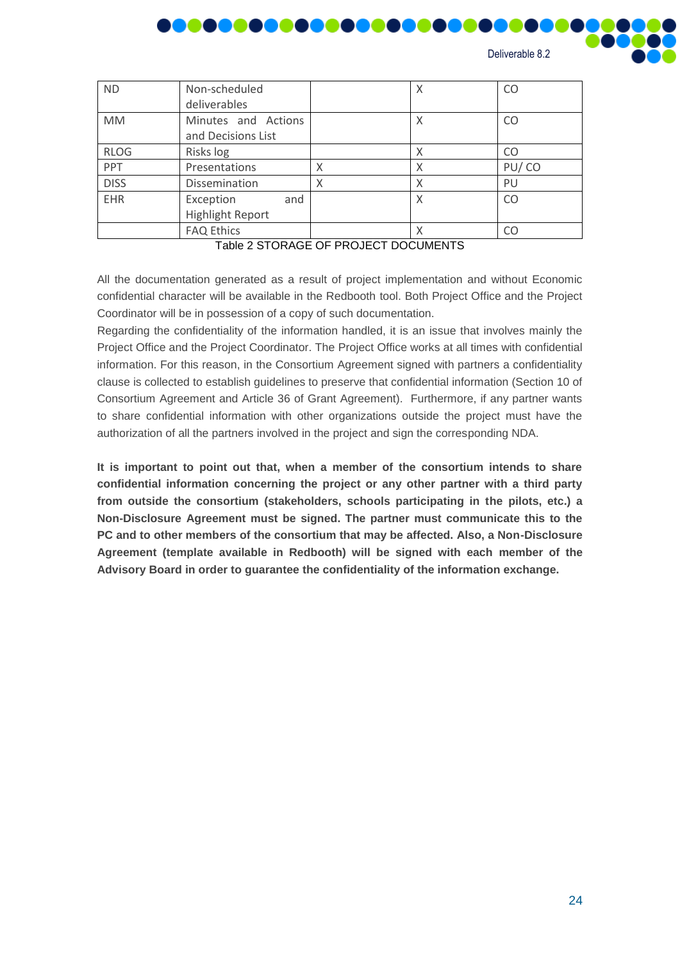

| <b>FFI</b>  | <b>FICSCHILGLIUIS</b>   | Λ | 107 CU |
|-------------|-------------------------|---|--------|
| <b>DISS</b> | Dissemination           |   | PU     |
| EHR         | Exception<br>and        |   |        |
|             | <b>Highlight Report</b> |   |        |
|             | <b>FAQ Ethics</b>       |   |        |
|             |                         |   |        |

Table 2 STORAGE OF PROJECT DOCUMENTS

All the documentation generated as a result of project implementation and without Economic confidential character will be available in the Redbooth tool. Both Project Office and the Project Coordinator will be in possession of a copy of such documentation.

Regarding the confidentiality of the information handled, it is an issue that involves mainly the Project Office and the Project Coordinator. The Project Office works at all times with confidential information. For this reason, in the Consortium Agreement signed with partners a confidentiality clause is collected to establish guidelines to preserve that confidential information (Section 10 of Consortium Agreement and Article 36 of Grant Agreement). Furthermore, if any partner wants to share confidential information with other organizations outside the project must have the authorization of all the partners involved in the project and sign the corresponding NDA.

**It is important to point out that, when a member of the consortium intends to share confidential information concerning the project or any other partner with a third party from outside the consortium (stakeholders, schools participating in the pilots, etc.) a Non-Disclosure Agreement must be signed. The partner must communicate this to the PC and to other members of the consortium that may be affected. Also, a Non-Disclosure Agreement (template available in Redbooth) will be signed with each member of the Advisory Board in order to guarantee the confidentiality of the information exchange.**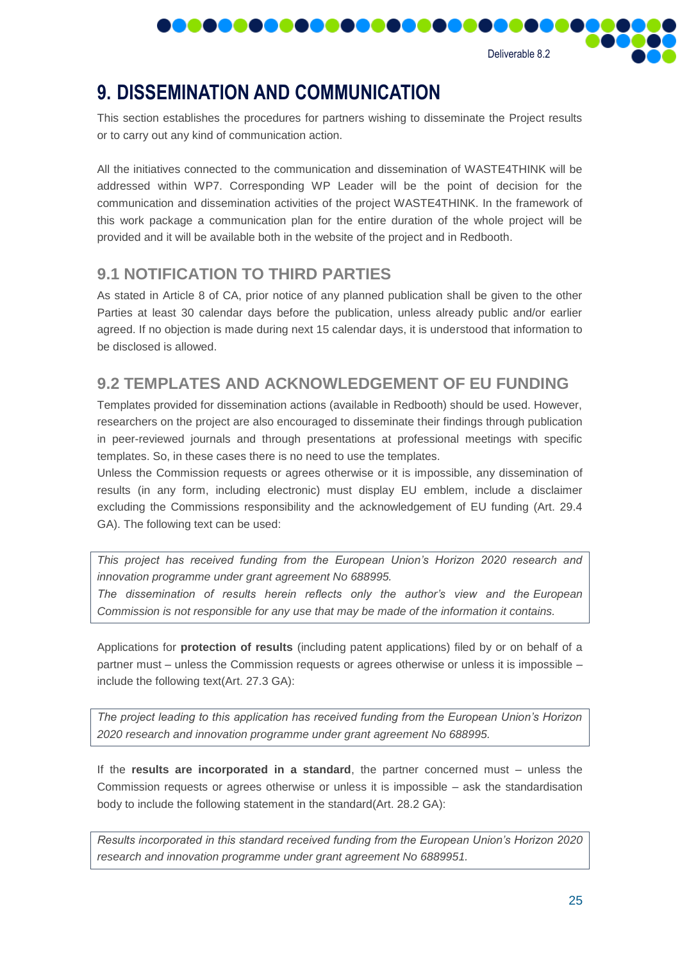

# <span id="page-24-0"></span>**9. DISSEMINATION AND COMMUNICATION**

This section establishes the procedures for partners wishing to disseminate the Project results or to carry out any kind of communication action.

All the initiatives connected to the communication and dissemination of WASTE4THINK will be addressed within WP7. Corresponding WP Leader will be the point of decision for the communication and dissemination activities of the project WASTE4THINK. In the framework of this work package a communication plan for the entire duration of the whole project will be provided and it will be available both in the website of the project and in Redbooth.

# <span id="page-24-1"></span>**9.1 NOTIFICATION TO THIRD PARTIES**

As stated in Article 8 of CA, prior notice of any planned publication shall be given to the other Parties at least 30 calendar days before the publication, unless already public and/or earlier agreed. If no objection is made during next 15 calendar days, it is understood that information to be disclosed is allowed.

## <span id="page-24-2"></span>**9.2 TEMPLATES AND ACKNOWLEDGEMENT OF EU FUNDING**

Templates provided for dissemination actions (available in Redbooth) should be used. However, researchers on the project are also encouraged to disseminate their findings through publication in peer-reviewed journals and through presentations at professional meetings with specific templates. So, in these cases there is no need to use the templates.

Unless the Commission requests or agrees otherwise or it is impossible, any dissemination of results (in any form, including electronic) must display EU emblem, include a disclaimer excluding the Commissions responsibility and the acknowledgement of EU funding (Art. 29.4 GA). The following text can be used:

*This project has received funding from the European Union's Horizon 2020 research and innovation programme under grant agreement No 688995.*

*The dissemination of results herein reflects only the author's view and the European Commission is not responsible for any use that may be made of the information it contains.*

Applications for **protection of results** (including patent applications) filed by or on behalf of a partner must – unless the Commission requests or agrees otherwise or unless it is impossible – include the following text(Art. 27.3 GA):

*The project leading to this application has received funding from the European Union's Horizon 2020 research and innovation programme under grant agreement No 688995.* 

If the **results are incorporated in a standard**, the partner concerned must – unless the Commission requests or agrees otherwise or unless it is impossible – ask the standardisation body to include the following statement in the standard(Art. 28.2 GA):

*Results incorporated in this standard received funding from the European Union's Horizon 2020 research and innovation programme under grant agreement No 6889951.*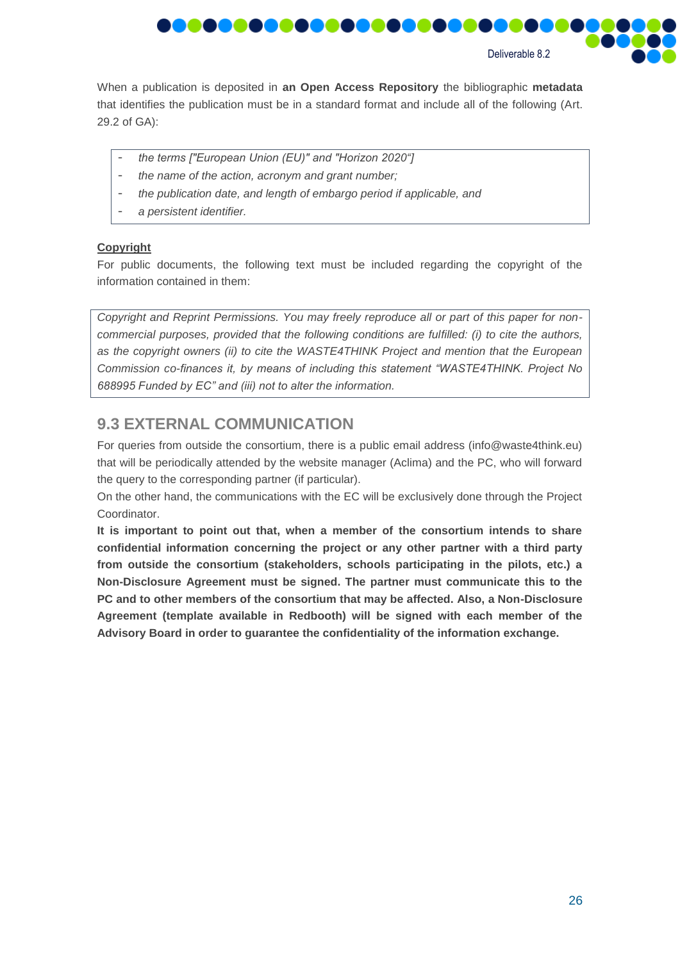

When a publication is deposited in **an Open Access Repository** the bibliographic **metadata** that identifies the publication must be in a standard format and include all of the following (Art. 29.2 of GA):

- *the terms ["European Union (EU)" and "Horizon 2020"]*
- *the name of the action, acronym and grant number;*
- *the publication date, and length of embargo period if applicable, and*
- *a persistent identifier.*

#### **Copyright**

For public documents, the following text must be included regarding the copyright of the information contained in them:

*Copyright and Reprint Permissions. You may freely reproduce all or part of this paper for noncommercial purposes, provided that the following conditions are fulfilled: (i) to cite the authors, as the copyright owners (ii) to cite the WASTE4THINK Project and mention that the European Commission co-finances it, by means of including this statement "WASTE4THINK. Project No 688995 Funded by EC" and (iii) not to alter the information.*

### <span id="page-25-0"></span>**9.3 EXTERNAL COMMUNICATION**

For queries from outside the consortium, there is a public email address (info@waste4think.eu) that will be periodically attended by the website manager (Aclima) and the PC, who will forward the query to the corresponding partner (if particular).

On the other hand, the communications with the EC will be exclusively done through the Project Coordinator.

**It is important to point out that, when a member of the consortium intends to share confidential information concerning the project or any other partner with a third party from outside the consortium (stakeholders, schools participating in the pilots, etc.) a Non-Disclosure Agreement must be signed. The partner must communicate this to the PC and to other members of the consortium that may be affected. Also, a Non-Disclosure Agreement (template available in Redbooth) will be signed with each member of the Advisory Board in order to guarantee the confidentiality of the information exchange.**